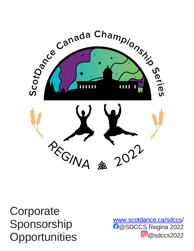# **Corporate** Sponsorship **Opportunities**

[www.scotdance.ca/sdccs](http://www.scotdance.ca/sdccs.) / **D**@SDCCS Regina 2022 <sup>o</sup>@sdccs2022

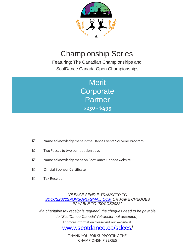

Featuring: The Canadian Championships and ScotDance Canada Open Championships

> **Merit Corporate Partner \$250 - \$499**

- Name acknowledgement in the Dance Events Souvenir Program
- $\boxtimes$  Two Passes to two competition days
- Name acknowledgement on ScotDance Canadawebsite
- **Ø** Official Sponsor Certificate
- **Ø** Tax Receipt

*"PLEASE SEND E-TRANSFER TO [SDCCS2022SPONSOR@GMAIL.COM](mailto:SDCCS2022SPONSOR@GMAIL.COM) OR MAKE CHEQUES PAYABLE TO "SDCCS2022".*

*If a charitable tax receipt is required, the cheques need to be payable to "ScotDance Canada" (etransfer not accepted).* For more information please visit our website at:

[www.scotdance.ca/sdccs/](http://www.scotdance.ca/sdccs.)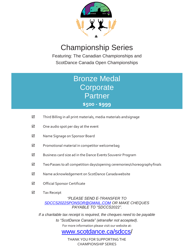

Featuring: The Canadian Championships and ScotDance Canada Open Championships

### Bronze Medal **Corporate** Partner **\$500 - \$999**

- $\boxtimes$  Third Billing in all print materials, media materials and signage
- $\boxtimes$  One audio spot per day at the event
- Name Signage on Sponsor Board
- $\boxtimes$  Promotional material in competitor welcome bag
- $\boxtimes$  Business card size ad in the Dance Events Souvenir Program
- $\boxtimes$  Two Passes to all competition days/opening ceremonies/choreographyfinals
- $\boxtimes$  Name acknowledgement on ScotDance Canadawebsite
- $\boxtimes$  Official Sponsor Certificate
- **Ø** Tax Receipt

*"PLEASE SEND E-TRANSFER TO [SDCCS2022SPONSOR@GMAIL.COM](mailto:SDCCS2022SPONSOR@GMAIL.COM) OR MAKE CHEQUES PAYABLE TO "SDCCS2022".*

*If a charitable tax receipt is required, the cheques need to be payable to "ScotDance Canada" (etransfer not accepted).* For more information please visit our website at:

#### [www.scotdance.ca/sdccs/](http://www.scotdance.ca/sdccs.)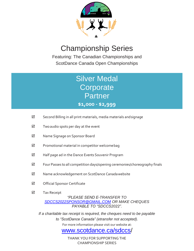

Featuring: The Canadian Championships and ScotDance Canada Open Championships

### Silver Medal **Corporate** Partner **\$1,000 - \$2,999**

- $\boxtimes$  Second Billing in all print materials, media materials and signage
- $\boxtimes$  Two audio spots per day at the event
- Name Signage on Sponsor Board
- $\boxtimes$  Promotional material in competitor welcome bag
- $\boxtimes$  Half page ad in the Dance Events Souvenir Program
- $\boxtimes$  Four Passes to all competition days/opening ceremonies/choreography finals
- $\boxtimes$  Name acknowledgement on ScotDance Canadawebsite
- **Ø** Official Sponsor Certificate
- **Ø** Tax Receipt

#### *"PLEASE SEND E-TRANSFER TO [SDCCS2022SPONSOR@GMAIL.COM](mailto:SDCCS2022SPONSOR@GMAIL.COM) OR MAKE CHEQUES PAYABLE TO "SDCCS2022".*

*If a charitable tax receipt is required, the cheques need to be payable to "ScotDance Canada" (etransfer not accepted).* For more information please visit our website at:

#### [www.scotdance.ca/sdccs/](http://www.scotdance.ca/sdccs.)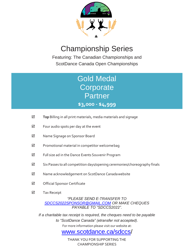

Featuring: The Canadian Championships and ScotDance Canada Open Championships

### Gold Medal **Corporate Partner \$3,000 - \$4,999**

- **Top** Billing in all print materials, media materials and signage
- $\boxtimes$  Four audio spots per day at the event
- Name Signage on Sponsor Board
- $\boxtimes$  Promotional material in competitor welcome bag
- $\boxtimes$  Full size ad in the Dance Events Souvenir Program
- $\triangledown$ Six Passes to all competition days/opening ceremonies/choreography finals
- ☑ Name acknowledgement on ScotDance Canadawebsite
- **Ø** Official Sponsor Certificate
- **Ø** Tax Receipt

*"PLEASE SEND E-TRANSFER TO [SDCCS2022SPONSOR@GMAIL.COM](mailto:SDCCS2022SPONSOR@GMAIL.COM) OR MAKE CHEQUES PAYABLE TO "SDCCS2022".*

*If a charitable tax receipt is required, the cheques need to be payable to "ScotDance Canada" (etransfer not accepted).* For more information please visit our website at:

#### [www.scotdance.ca/sdccs/](http://www.scotdance.ca/sdccs.)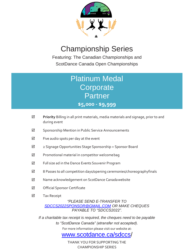

Featuring: The Canadian Championships and ScotDance Canada Open Championships

### Platinum Medal **Corporate Partner \$5,000 - \$9,999**

- **Priority** Billing in all print materials, media materials and signage, prior to and during event  $\overline{\mathsf{M}}$
- $\boxtimes$  Sponsorship Mention in Public Service Announcements
- $\boxtimes$  Five audio spots per day at the event
- 2 Signage Opportunities Stage Sponsorship + Sponsor Board
- $\boxtimes$  Promotional material in competitor welcomebag
- $\boxtimes$  Full size ad in the Dance Events Souvenir Program
- $\boxtimes$  8 Passes to all competition days/opening ceremonies/choreographyfinals
- Name acknowledgement on ScotDance Canadawebsite
- **Ø** Official Sponsor Certificate
- **Ø** Tax Receipt

*"PLEASE SEND E-TRANSFER TO [SDCCS2022SPONSOR@GMAIL.COM](mailto:SDCCS2022SPONSOR@GMAIL.COM) OR MAKE CHEQUES PAYABLE TO "SDCCS2022".*

*If a charitable tax receipt is required, the cheques need to be payable to "ScotDance Canada" (etransfer not accepted).* For more information please visit our website at:

[www.scotdance.ca/sdccs/](http://www.scotdance.ca/sdccs.)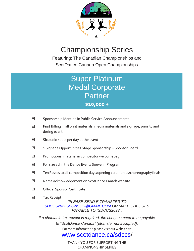

Featuring: The Canadian Championships and ScotDance Canada Open Championships

> Super Platinum Medal Corporate Partner **\$10,000 +**

- $\boxtimes$  Sponsorship Mention in Public Service Announcements
- **First** Billing in all print materials, media materials and signage, prior to and during event ☑
- $\boxtimes$  Six audio spots per day at the event
- 2 Signage Opportunities Stage Sponsorship + Sponsor Board
- $\boxtimes$  Promotional material in competitor welcomebag
- Full size ad in the Dance Events Souvenir Program
- $\boxtimes$  Ten Passes to all competition days/opening ceremonies/choreographyfinals
- $\boxtimes$  Name acknowledgement on ScotDance Canadawebsite
- $\boxtimes$  Official Sponsor Certificate
- **☑** Tax Receipt

*"PLEASE SEND E-TRANSFER TO [SDCCS2022SPONSOR@GMAIL.COM](mailto:SDCCS2022SPONSOR@GMAIL.COM) OR MAKE CHEQUES PAYABLE TO "SDCCS2022".*

*If a charitable tax receipt is required, the cheques need to be payable to "ScotDance Canada" (etransfer not accepted).* For more information please visit our website at:

[www.scotdance.ca/sdccs/](http://www.scotdance.ca/sdccs.)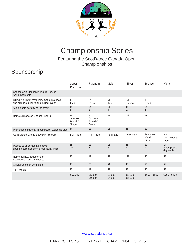

#### Featuring the ScotDance Canada Open **Championships**

### Sponsorship

|                                                                                           | Super<br>Platinum                | Platinum                         | Gold                    | Silver                  | <b>Bronze</b>                   | Merit                           |
|-------------------------------------------------------------------------------------------|----------------------------------|----------------------------------|-------------------------|-------------------------|---------------------------------|---------------------------------|
| Sponsorship Mention in Public Service<br>Announcements                                    |                                  |                                  |                         |                         |                                 |                                 |
| Billing in all print materials, media materials<br>and signage, prior to and during event | ☑<br>First                       | ☑<br>Priority                    | ☑<br>Top                | ☑<br>Second             | ☑<br>Third                      |                                 |
| Audio spots per day at the event                                                          | ☑<br>6                           | ☑<br>5                           | ☑<br>4                  | ☑<br>$\overline{2}$     | ☑<br>$\mathbf{1}$               |                                 |
| Name Signage on Sponsor Board                                                             | ☑<br>Sponsor<br>Board &<br>Stage | ☑<br>Sponsor<br>Board &<br>Stage | $\overline{\mathsf{M}}$ | ☑                       | $\overline{\mathbf{M}}$         |                                 |
| Promotional material in competitor welcome bag                                            | ☑                                | ☑                                | ☑                       | ☑                       | ☑                               |                                 |
| Ad in Dance Events Souvenir Program                                                       | <b>Full Page</b>                 | Full Page                        | <b>Full Page</b>        | Half Page               | <b>Business</b><br>Card<br>Size | Name<br>acknowledge-<br>ment    |
| Passes to all competition days/<br>opening ceremonies/choreography finals                 | ☑<br>10                          | ☑<br>8                           | ☑<br>6                  | ☑<br>$\overline{4}$     | ☑<br>$\overline{2}$             | ☑<br>2 competition<br>days only |
| Name acknowledgement on<br>ScotDance Canada website                                       | ☑                                | $\overline{\mathsf{M}}$          | $\overline{\vee}$       | $\triangledown$         | $\Delta$                        | ☑                               |
| <b>Official Sponsor Certificate</b>                                                       | $\overline{\boxtimes}$           | ☑                                | $\boxed{\mathcal{S}}$   | $\overline{\mathbf{y}}$ | ☑                               | ☑                               |
| <b>Tax Receipt</b>                                                                        | ☑                                | ☑                                | ☑                       | ☑                       | ☑                               | ☑                               |
|                                                                                           | $$10,000+$                       | $$5,000 -$<br>\$9,999            | $$3,000 -$<br>\$4,999   | $$1,000 -$<br>\$2,999   | $$500 - $999$                   | $$250 - $499$                   |

[www.scotdance.ca](http://www.scotdance.ca/)